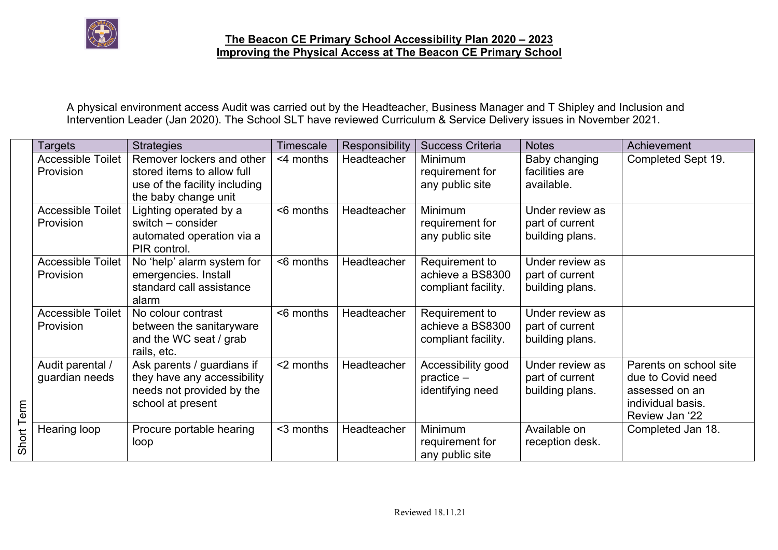

A physical environment access Audit was carried out by the Headteacher, Business Manager and T Shipley and Inclusion and Intervention Leader (Jan 2020). The School SLT have reviewed Curriculum & Service Delivery issues in November 2021.

|       | Targets                               | <b>Strategies</b>                                                                                                | Timescale | Responsibility | <b>Success Criteria</b>                                   | <b>Notes</b>                                          | Achievement                                                                                          |
|-------|---------------------------------------|------------------------------------------------------------------------------------------------------------------|-----------|----------------|-----------------------------------------------------------|-------------------------------------------------------|------------------------------------------------------------------------------------------------------|
|       | <b>Accessible Toilet</b><br>Provision | Remover lockers and other<br>stored items to allow full<br>use of the facility including<br>the baby change unit | <4 months | Headteacher    | <b>Minimum</b><br>requirement for<br>any public site      | Baby changing<br>facilities are<br>available.         | Completed Sept 19.                                                                                   |
|       | <b>Accessible Toilet</b><br>Provision | Lighting operated by a<br>switch – consider<br>automated operation via a<br>PIR control.                         | <6 months | Headteacher    | <b>Minimum</b><br>requirement for<br>any public site      | Under review as<br>part of current<br>building plans. |                                                                                                      |
|       | <b>Accessible Toilet</b><br>Provision | No 'help' alarm system for<br>emergencies. Install<br>standard call assistance<br>alarm                          | <6 months | Headteacher    | Requirement to<br>achieve a BS8300<br>compliant facility. | Under review as<br>part of current<br>building plans. |                                                                                                      |
|       | <b>Accessible Toilet</b><br>Provision | No colour contrast<br>between the sanitaryware<br>and the WC seat / grab<br>rails, etc.                          | <6 months | Headteacher    | Requirement to<br>achieve a BS8300<br>compliant facility. | Under review as<br>part of current<br>building plans. |                                                                                                      |
| erm   | Audit parental /<br>guardian needs    | Ask parents / guardians if<br>they have any accessibility<br>needs not provided by the<br>school at present      | <2 months | Headteacher    | Accessibility good<br>$practive -$<br>identifying need    | Under review as<br>part of current<br>building plans. | Parents on school site<br>due to Covid need<br>assessed on an<br>individual basis.<br>Review Jan '22 |
| Short | Hearing loop                          | Procure portable hearing<br>loop                                                                                 | <3 months | Headteacher    | <b>Minimum</b><br>requirement for<br>any public site      | Available on<br>reception desk.                       | Completed Jan 18.                                                                                    |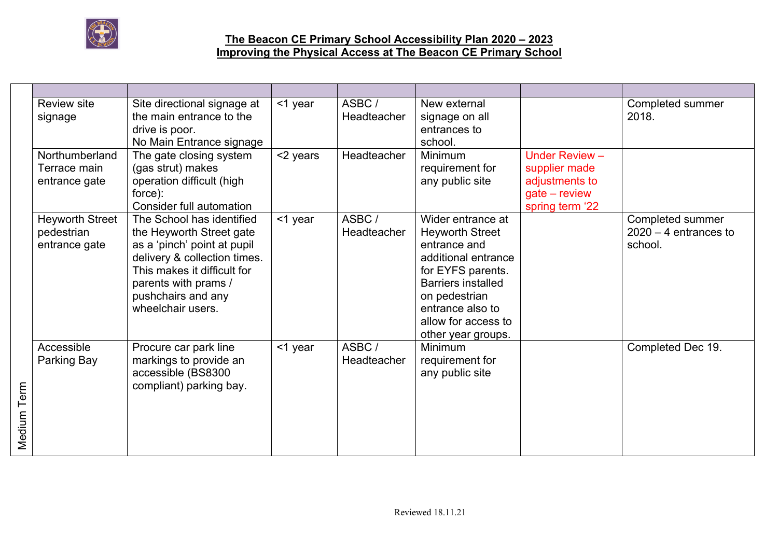

|             | <b>Review site</b><br>signage                         | Site directional signage at<br>the main entrance to the<br>drive is poor.<br>No Main Entrance signage                                                                                                                  | $<$ 1 year | ASBC/<br>Headteacher | New external<br>signage on all<br>entrances to<br>school.                                                                                                                                                              |                                                                                         | Completed summer<br>2018.                              |
|-------------|-------------------------------------------------------|------------------------------------------------------------------------------------------------------------------------------------------------------------------------------------------------------------------------|------------|----------------------|------------------------------------------------------------------------------------------------------------------------------------------------------------------------------------------------------------------------|-----------------------------------------------------------------------------------------|--------------------------------------------------------|
|             | Northumberland<br>Terrace main<br>entrance gate       | The gate closing system<br>(gas strut) makes<br>operation difficult (high<br>force):<br>Consider full automation                                                                                                       | <2 years   | Headteacher          | Minimum<br>requirement for<br>any public site                                                                                                                                                                          | Under Review -<br>supplier made<br>adjustments to<br>$gate - review$<br>spring term '22 |                                                        |
|             | <b>Heyworth Street</b><br>pedestrian<br>entrance gate | The School has identified<br>the Heyworth Street gate<br>as a 'pinch' point at pupil<br>delivery & collection times.<br>This makes it difficult for<br>parents with prams /<br>pushchairs and any<br>wheelchair users. | $<$ 1 year | ASBC/<br>Headteacher | Wider entrance at<br><b>Heyworth Street</b><br>entrance and<br>additional entrance<br>for EYFS parents.<br><b>Barriers installed</b><br>on pedestrian<br>entrance also to<br>allow for access to<br>other year groups. |                                                                                         | Completed summer<br>$2020 - 4$ entrances to<br>school. |
| Medium Term | Accessible<br>Parking Bay                             | Procure car park line<br>markings to provide an<br>accessible (BS8300<br>compliant) parking bay.                                                                                                                       | <1 year    | ASBC/<br>Headteacher | Minimum<br>requirement for<br>any public site                                                                                                                                                                          |                                                                                         | Completed Dec 19.                                      |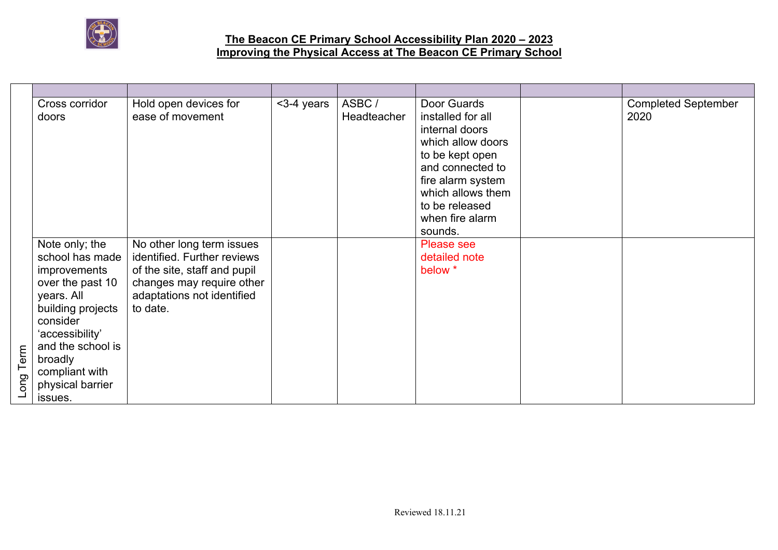

| Cross corridor<br>doors                                                                                                                                                                                                               | Hold open devices for<br>ease of movement                                                                                                                       | <3-4 years | ASBC/<br>Headteacher | Door Guards<br>installed for all<br>internal doors<br>which allow doors<br>to be kept open<br>and connected to<br>fire alarm system<br>which allows them<br>to be released<br>when fire alarm<br>sounds. | <b>Completed September</b><br>2020 |
|---------------------------------------------------------------------------------------------------------------------------------------------------------------------------------------------------------------------------------------|-----------------------------------------------------------------------------------------------------------------------------------------------------------------|------------|----------------------|----------------------------------------------------------------------------------------------------------------------------------------------------------------------------------------------------------|------------------------------------|
| Note only; the<br>school has made<br>improvements<br>over the past 10<br>years. All<br>building projects<br>consider<br>'accessibility'<br>and the school is<br>Long Term<br>broadly<br>compliant with<br>physical barrier<br>issues. | No other long term issues<br>identified. Further reviews<br>of the site, staff and pupil<br>changes may require other<br>adaptations not identified<br>to date. |            |                      | Please see<br>detailed note<br>below *                                                                                                                                                                   |                                    |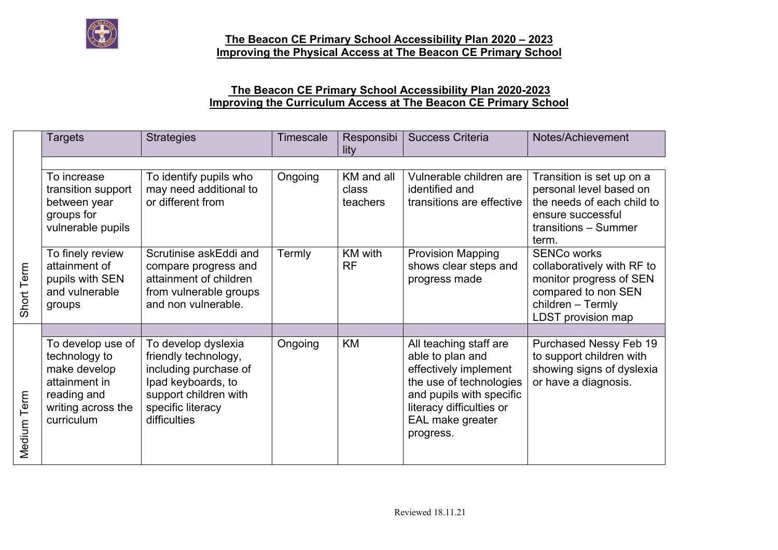

## **The Beacon CE Primary School Accessibility Plan 2020-2023 Improving the Curriculum Access at The Beacon CE Primary School**

|                             | <b>Targets</b>                                                                                                         | <b>Strategies</b>                                                                                                                                        | Timescale | Responsibi<br>lity   | <b>Success Criteria</b>                                                                                                                                                                 | Notes/Achievement                                                                                                                             |
|-----------------------------|------------------------------------------------------------------------------------------------------------------------|----------------------------------------------------------------------------------------------------------------------------------------------------------|-----------|----------------------|-----------------------------------------------------------------------------------------------------------------------------------------------------------------------------------------|-----------------------------------------------------------------------------------------------------------------------------------------------|
|                             | To increase                                                                                                            | To identify pupils who                                                                                                                                   | Ongoing   | KM and all           | Vulnerable children are                                                                                                                                                                 | Transition is set up on a                                                                                                                     |
|                             | transition support<br>between year<br>groups for<br>vulnerable pupils                                                  | may need additional to<br>or different from                                                                                                              |           | class<br>teachers    | identified and<br>transitions are effective                                                                                                                                             | personal level based on<br>the needs of each child to<br>ensure successful<br>transitions - Summer<br>term.                                   |
| Term<br>Short               | To finely review<br>attainment of<br>pupils with SEN<br>and vulnerable<br>groups                                       | Scrutinise askEddi and<br>compare progress and<br>attainment of children<br>from vulnerable groups<br>and non vulnerable.                                | Termly    | KM with<br><b>RF</b> | <b>Provision Mapping</b><br>shows clear steps and<br>progress made                                                                                                                      | <b>SENCo works</b><br>collaboratively with RF to<br>monitor progress of SEN<br>compared to non SEN<br>children - Termly<br>LDST provision map |
| Term<br>Medium <sup>-</sup> | To develop use of<br>technology to<br>make develop<br>attainment in<br>reading and<br>writing across the<br>curriculum | To develop dyslexia<br>friendly technology,<br>including purchase of<br>Ipad keyboards, to<br>support children with<br>specific literacy<br>difficulties | Ongoing   | <b>KM</b>            | All teaching staff are<br>able to plan and<br>effectively implement<br>the use of technologies<br>and pupils with specific<br>literacy difficulties or<br>EAL make greater<br>progress. | Purchased Nessy Feb 19<br>to support children with<br>showing signs of dyslexia<br>or have a diagnosis.                                       |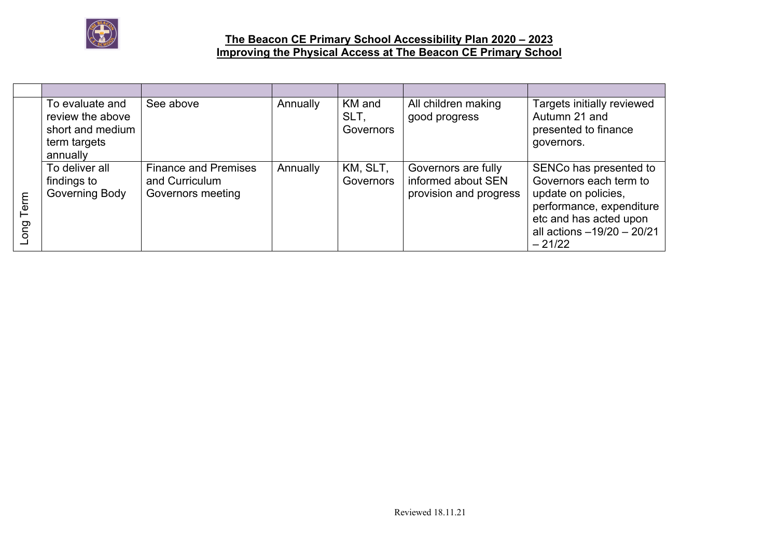

|          | To evaluate and<br>review the above<br>short and medium<br>term targets<br>annually | See above                                                          | Annually | KM and<br>SLT.<br>Governors | All children making<br>good progress                                | Targets initially reviewed<br>Autumn 21 and<br>presented to finance<br>governors.                                                                                       |
|----------|-------------------------------------------------------------------------------------|--------------------------------------------------------------------|----------|-----------------------------|---------------------------------------------------------------------|-------------------------------------------------------------------------------------------------------------------------------------------------------------------------|
| ͽ<br>ong | To deliver all<br>findings to<br>Governing Body                                     | <b>Finance and Premises</b><br>and Curriculum<br>Governors meeting | Annually | KM, SLT,<br>Governors       | Governors are fully<br>informed about SEN<br>provision and progress | SENCo has presented to<br>Governors each term to<br>update on policies,<br>performance, expenditure<br>etc and has acted upon<br>all actions -19/20 - 20/21<br>$-21/22$ |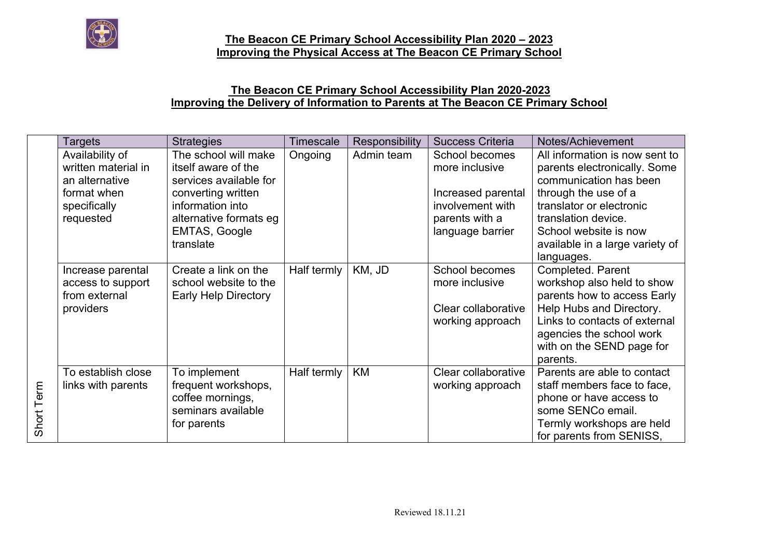

# **The Beacon CE Primary School Accessibility Plan 2020-2023 Improving the Delivery of Information to Parents at The Beacon CE Primary School**

|            | <b>Targets</b>      | <b>Strategies</b>           | <b>Timescale</b> | Responsibility | <b>Success Criteria</b> | Notes/Achievement               |
|------------|---------------------|-----------------------------|------------------|----------------|-------------------------|---------------------------------|
|            | Availability of     | The school will make        | Ongoing          | Admin team     | School becomes          | All information is now sent to  |
|            | written material in | itself aware of the         |                  |                | more inclusive          | parents electronically. Some    |
|            | an alternative      | services available for      |                  |                |                         | communication has been          |
|            | format when         | converting written          |                  |                | Increased parental      | through the use of a            |
|            | specifically        | information into            |                  |                | involvement with        | translator or electronic        |
|            | requested           | alternative formats eg      |                  |                | parents with a          | translation device.             |
|            |                     | EMTAS, Google               |                  |                | language barrier        | School website is now           |
|            |                     | translate                   |                  |                |                         | available in a large variety of |
|            |                     |                             |                  |                |                         | languages.                      |
|            | Increase parental   | Create a link on the        | Half termly      | KM, JD         | School becomes          | Completed. Parent               |
|            | access to support   | school website to the       |                  |                | more inclusive          | workshop also held to show      |
|            | from external       | <b>Early Help Directory</b> |                  |                |                         | parents how to access Early     |
|            | providers           |                             |                  |                | Clear collaborative     | Help Hubs and Directory.        |
|            |                     |                             |                  |                | working approach        | Links to contacts of external   |
|            |                     |                             |                  |                |                         | agencies the school work        |
|            |                     |                             |                  |                |                         | with on the SEND page for       |
|            |                     |                             |                  |                |                         | parents.                        |
|            | To establish close  | To implement                | Half termly      | KM             | Clear collaborative     | Parents are able to contact     |
|            | links with parents  | frequent workshops,         |                  |                | working approach        | staff members face to face,     |
|            |                     | coffee mornings,            |                  |                |                         | phone or have access to         |
|            |                     | seminars available          |                  |                |                         | some SENCo email.               |
| Short Term |                     | for parents                 |                  |                |                         | Termly workshops are held       |
|            |                     |                             |                  |                |                         | for parents from SENISS,        |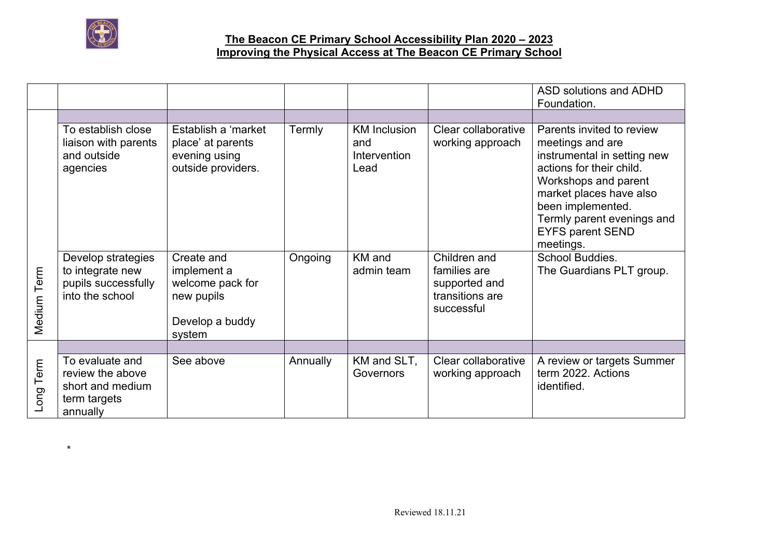

\*

### **The Beacon CE Primary School Accessibility Plan 2020 – 2023 Improving the Physical Access at The Beacon CE Primary School**

|             |                                                                                     |                                                                                          |          |                                                    |                                                                                | ASD solutions and ADHD<br>Foundation.                                                                                                                                                                                                                  |
|-------------|-------------------------------------------------------------------------------------|------------------------------------------------------------------------------------------|----------|----------------------------------------------------|--------------------------------------------------------------------------------|--------------------------------------------------------------------------------------------------------------------------------------------------------------------------------------------------------------------------------------------------------|
|             |                                                                                     |                                                                                          |          |                                                    |                                                                                |                                                                                                                                                                                                                                                        |
|             | To establish close<br>liaison with parents<br>and outside<br>agencies               | Establish a 'market<br>place' at parents<br>evening using<br>outside providers.          | Termly   | <b>KM</b> Inclusion<br>and<br>Intervention<br>Lead | Clear collaborative<br>working approach                                        | Parents invited to review<br>meetings and are<br>instrumental in setting new<br>actions for their child.<br>Workshops and parent<br>market places have also<br>been implemented.<br>Termly parent evenings and<br><b>EYFS parent SEND</b><br>meetings. |
| Medium Term | Develop strategies<br>to integrate new<br>pupils successfully<br>into the school    | Create and<br>implement a<br>welcome pack for<br>new pupils<br>Develop a buddy<br>system | Ongoing  | KM and<br>admin team                               | Children and<br>families are<br>supported and<br>transitions are<br>successful | School Buddies.<br>The Guardians PLT group.                                                                                                                                                                                                            |
|             |                                                                                     |                                                                                          |          |                                                    |                                                                                |                                                                                                                                                                                                                                                        |
| Long Term   | To evaluate and<br>review the above<br>short and medium<br>term targets<br>annually | See above                                                                                | Annually | KM and SLT,<br>Governors                           | Clear collaborative<br>working approach                                        | A review or targets Summer<br>term 2022. Actions<br>identified.                                                                                                                                                                                        |